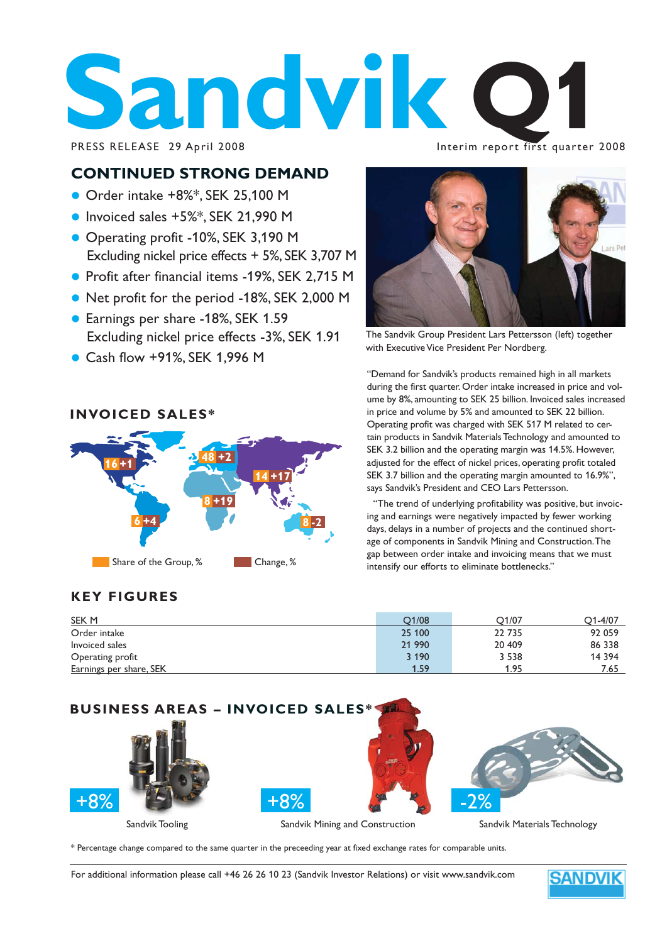# **Sandvik Construction Construction Construction Construction Construction Construction Construction Construction Construction Construction Construction Construction Construction Construction Construction Construction Const**

#### Interim report first quarter 2008

## **CONTINUED STRONG DEMAND**

- $\bullet$  Order intake +8%\*, SEK 25,100 M
- $\bullet$  Invoiced sales +5%\*, SEK 21,990 M
- Operating profit -10%, SEK 3,190 M Excluding nickel price effects + 5%, SEK 3,707 M
- Profit after financial items -19%, SEK 2,715 M
- Net profit for the period -18%, SEK 2,000 M
- Earnings per share -18%, SEK 1.59 Excluding nickel price effects -3%, SEK 1.91
- Cash flow +91%, SEK 1,996 M

## **INVOICED SALES\***



## **KEY FIGURES**

| SEK M                   | O1/08   | O1/07   | 01-4/07  |
|-------------------------|---------|---------|----------|
| Order intake            | 25 100  | 22 7 35 | 92 059   |
| Invoiced sales          | 21 990  | 20 409  | 86 338   |
| Operating profit        | 3 1 9 0 | 3 5 3 8 | 14 3 9 4 |
| Earnings per share, SEK | 1.59    | 1.95    | 7.65     |



\* Percentage change compared to the same quarter in the preceeding year at fixed exchange rates for comparable units.

For additional information please call +46 26 26 10 23 (Sandvik Investor Relations) or visit www.sandvik.com



The Sandvik Group President Lars Pettersson (left) together with Executive Vice President Per Nordberg.

"Demand for Sandvik's products remained high in all markets during the first quarter. Order intake increased in price and volume by 8%, amounting to SEK 25 billion. Invoiced sales increased in price and volume by 5% and amounted to SEK 22 billion. Operating profit was charged with SEK 517 M related to certain products in Sandvik Materials Technology and amounted to SEK 3.2 billion and the operating margin was 14.5%. However, adjusted for the effect of nickel prices, operating profit totaled SEK 3.7 billion and the operating margin amounted to 16.9%", says Sandvik's President and CEO Lars Pettersson.

"The trend of underlying profitability was positive, but invoicing and earnings were negatively impacted by fewer working days, delays in a number of projects and the continued shortage of components in Sandvik Mining and Construction. The gap between order intake and invoicing means that we must intensify our efforts to eliminate bottlenecks."

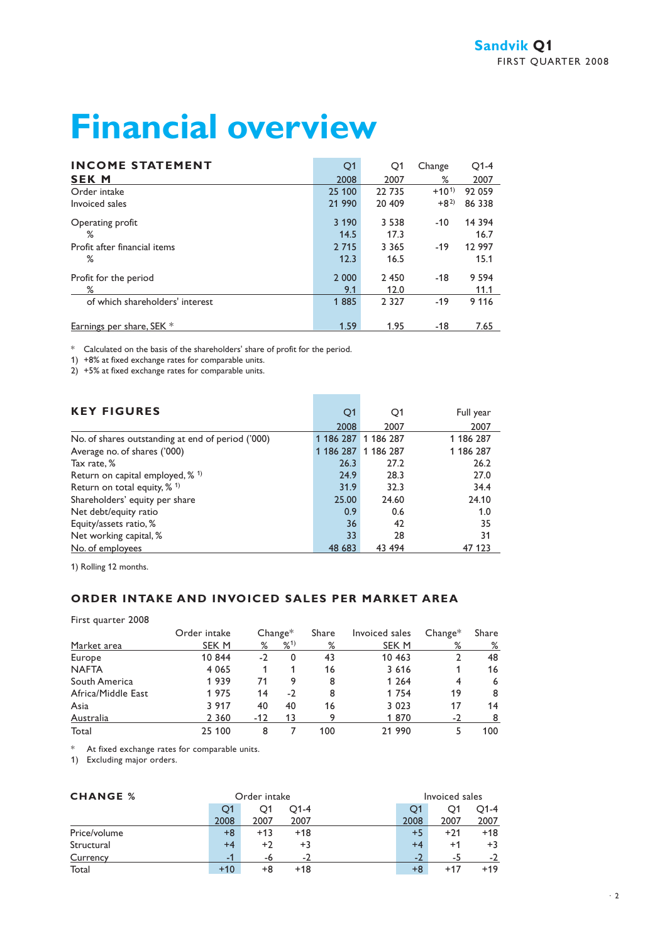# **Financial overview**

| <b>INCOME STATEMENT</b>         | Q1      | Q1      | Change    | $O1-4$  |
|---------------------------------|---------|---------|-----------|---------|
| <b>SEK M</b>                    | 2008    | 2007    | ℅         | 2007    |
| Order intake                    | 25 100  | 22 735  | $+10^{1}$ | 92 059  |
| Invoiced sales                  | 21 990  | 20 409  | $+8^{2}$  | 86 338  |
| Operating profit                | 3 1 9 0 | 3 5 3 8 | $-10$     | 14 3 94 |
| %                               | 14.5    | 17.3    |           | 16.7    |
| Profit after financial items    | 2 7 1 5 | 3 3 6 5 | $-19$     | 12 997  |
| %                               | 12.3    | 16.5    |           | 15.1    |
| Profit for the period           | 2 0 0 0 | 2 4 5 0 | $-18$     | 9 5 9 4 |
| %                               | 9.1     | 12.0    |           | 11.1    |
| of which shareholders' interest | 1885    | 2 3 2 7 | $-19$     | 9 1 1 6 |
| Earnings per share, SEK *       | 1.59    | 1.95    | $-18$     | 7.65    |

\* Calculated on the basis of the shareholders' share of profit for the period.

1) +8% at fixed exchange rates for comparable units.

2) +5% at fixed exchange rates for comparable units.

| <b>KEY FIGURES</b>                                | Q1        | Q1                  | Full year |
|---------------------------------------------------|-----------|---------------------|-----------|
|                                                   | 2008      | 2007                | 2007      |
| No. of shares outstanding at end of period ('000) |           | 1 186 287 1 186 287 | 1 186 287 |
| Average no. of shares ('000)                      | 1 186 287 | 1 186 287           | 1 186 287 |
| Tax rate, %                                       | 26.3      | 27.2                | 26.2      |
| Return on capital employed, $%$ <sup>1)</sup>     | 24.9      | 28.3                | 27.0      |
| Return on total equity, $% ^{1}$                  | 31.9      | 32.3                | 34.4      |
| Shareholders' equity per share                    | 25.00     | 24.60               | 24.10     |
| Net debt/equity ratio                             | 0.9       | 0.6                 | 1.0       |
| Equity/assets ratio, %                            | 36        | 42                  | 35        |
| Net working capital, %                            | 33        | 28                  | 31        |
| No. of employees                                  | 48 683    | 43 494              | 47 123    |

**Contract Contract** 

1) Rolling 12 months.

## **ORDER INTAKE AND INVOICED SALES PER MARKET AREA**

First quarter 2008

|                    | Order intake |       | $Change*$ | Share | Invoiced sales | $Change*$ | Share |
|--------------------|--------------|-------|-----------|-------|----------------|-----------|-------|
| Market area        | SEK M        | %     | %1)       | %     | SEK M          | ℅         | %     |
| Europe             | 10 844       | $-2$  | 0         | 43    | 10 463         |           | 48    |
| <b>NAFTA</b>       | 4 0 6 5      |       |           | 16    | 3 6 1 6        |           | 16    |
| South America      | 1939         | 71    | 9         | 8     | 1 2 6 4        |           | 6     |
| Africa/Middle East | 1975         | 14    | $-2$      | 8     | 1 7 5 4        | 19        | 8     |
| Asia               | 3 9 1 7      | 40    | 40        | 16    | 3 0 2 3        | 17        | 14    |
| Australia          | 2 3 6 0      | $-12$ | 13        |       | 1870           | $-2$      |       |
| Total              | 25 100       | 8     |           | 100   | 21 990         |           | 100   |

\* At fixed exchange rates for comparable units.

1) Excluding major orders.

| <b>CHANGE %</b> |       | Order intake |                          |      | Invoiced sales |        |
|-----------------|-------|--------------|--------------------------|------|----------------|--------|
|                 | O1    | O1           | O1-4                     | O1   | O1             | $O1-4$ |
|                 | 2008  | 2007         | 2007                     | 2008 | 2007           | 2007   |
| Price/volume    | $+8$  | $+13$        | $+18$                    | $+5$ | $+21$          | $+18$  |
| Structural      | $+4$  | $+2$         | $+3$                     | $+4$ | $+1$           | $+3$   |
| Currency        | -1    | -6           | $\overline{\phantom{a}}$ | $-2$ | -5             | -2     |
| Total           | $+10$ | +8           | $+18$                    | $+8$ | $+17$          | $+19$  |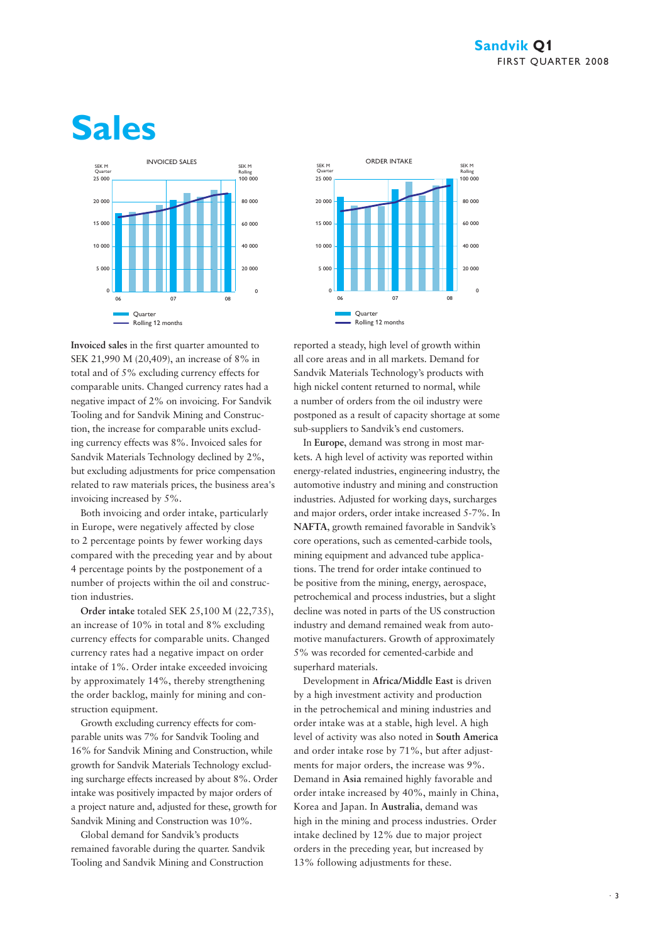## **Sales**





Both invoicing and order intake, particularly in Europe, were negatively affected by close to 2 percentage points by fewer working days compared with the preceding year and by about 4 percentage points by the postponement of a number of projects within the oil and construction industries.

**Order intake** totaled SEK 25,100 M (22,735), an increase of 10% in total and 8% excluding currency effects for comparable units. Changed currency rates had a negative impact on order intake of 1%. Order intake exceeded invoicing by approximately 14%, thereby strengthening the order backlog, mainly for mining and construction equipment.

Growth excluding currency effects for comparable units was 7% for Sandvik Tooling and 16% for Sandvik Mining and Construction, while growth for Sandvik Materials Technology excluding surcharge effects increased by about 8%. Order intake was positively impacted by major orders of a project nature and, adjusted for these, growth for Sandvik Mining and Construction was 10%.

Global demand for Sandvik's products remained favorable during the quarter. Sandvik Tooling and Sandvik Mining and Construction



reported a steady, high level of growth within all core areas and in all markets. Demand for Sandvik Materials Technology's products with high nickel content returned to normal, while a number of orders from the oil industry were postponed as a result of capacity shortage at some sub-suppliers to Sandvik's end customers.

In **Europe**, demand was strong in most markets. A high level of activity was reported within energy-related industries, engineering industry, the automotive industry and mining and construction industries. Adjusted for working days, surcharges and major orders, order intake increased 5-7%. In **NAFTA**, growth remained favorable in Sandvik's core operations, such as cemented-carbide tools, mining equipment and advanced tube applications. The trend for order intake continued to be positive from the mining, energy, aerospace, petrochemical and process industries, but a slight decline was noted in parts of the US construction industry and demand remained weak from automotive manufacturers. Growth of approximately 5% was recorded for cemented-carbide and superhard materials.

Development in **Africa/Middle East** is driven by a high investment activity and production in the petrochemical and mining industries and order intake was at a stable, high level. A high level of activity was also noted in **South America** and order intake rose by 71%, but after adjustments for major orders, the increase was 9%. Demand in **Asia** remained highly favorable and order intake increased by 40%, mainly in China, Korea and Japan. In **Australia**, demand was high in the mining and process industries. Order intake declined by 12% due to major project orders in the preceding year, but increased by 13% following adjustments for these.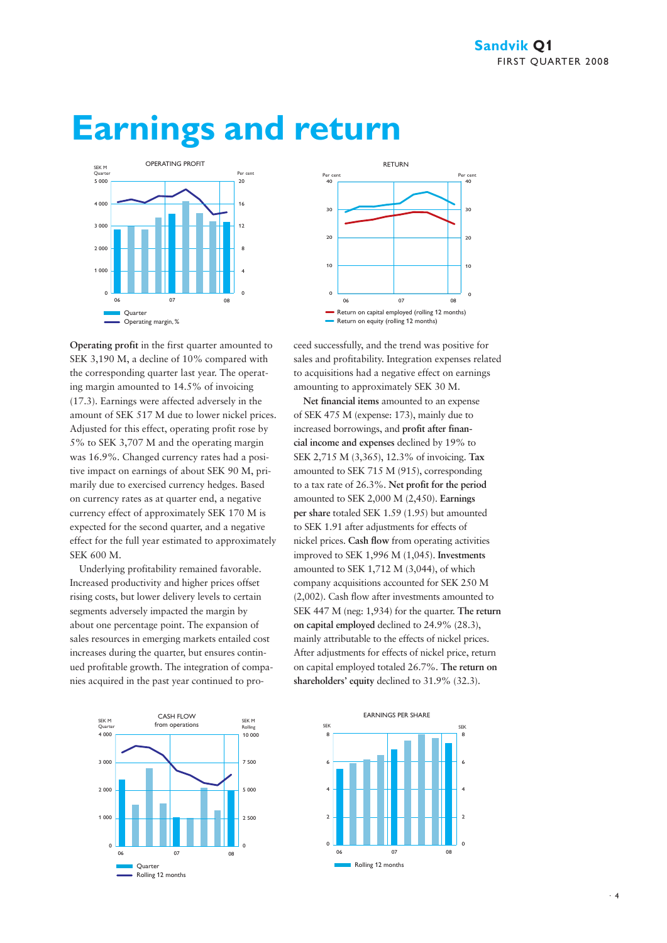

## **Earnings and return**



Underlying profitability remained favorable. Increased productivity and higher prices offset rising costs, but lower delivery levels to certain segments adversely impacted the margin by about one percentage point. The expansion of sales resources in emerging markets entailed cost increases during the quarter, but ensures continued profitable growth. The integration of companies acquired in the past year continued to pro-





ceed successfully, and the trend was positive for sales and profitability. Integration expenses related to acquisitions had a negative effect on earnings amounting to approximately SEK 30 M.

**Net financial items** amounted to an expense of SEK 475 M (expense: 173), mainly due to increased borrowings, and **profit after financial income and expenses** declined by 19% to SEK 2,715 M (3,365), 12.3% of invoicing. **Tax** amounted to SEK 715 M (915), corresponding to a tax rate of 26.3%. **Net profit for the period** amounted to SEK 2,000 M (2,450). **Earnings per share** totaled SEK 1.59 (1.95) but amounted to SEK 1.91 after adjustments for effects of nickel prices. **Cash flow** from operating activities improved to SEK 1,996 M (1,045). **Investments** amounted to SEK 1,712 M (3,044), of which company acquisitions accounted for SEK 250 M (2,002). Cash flow after investments amounted to SEK 447 M (neg: 1,934) for the quarter. **The return on capital employed** declined to 24.9% (28.3), mainly attributable to the effects of nickel prices. After adjustments for effects of nickel price, return on capital employed totaled 26.7%. **The return on shareholders' equity** declined to 31.9% (32.3).

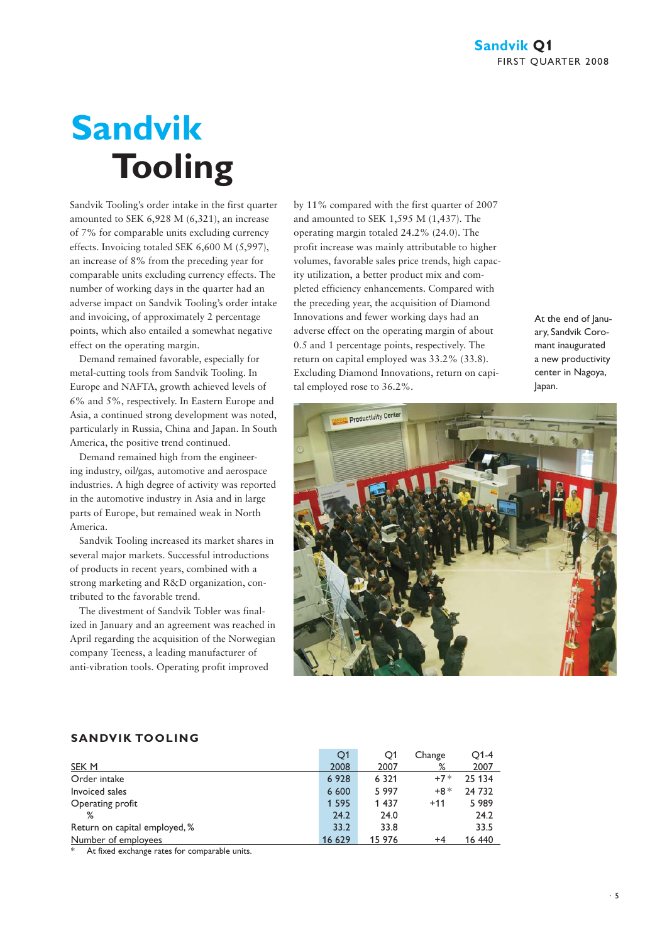# **Sandvik Tooling**

Sandvik Tooling's order intake in the first quarter amounted to SEK 6,928 M (6,321), an increase of 7% for comparable units excluding currency effects. Invoicing totaled SEK 6,600 M (5,997), an increase of 8% from the preceding year for comparable units excluding currency effects. The number of working days in the quarter had an adverse impact on Sandvik Tooling's order intake and invoicing, of approximately 2 percentage points, which also entailed a somewhat negative effect on the operating margin.

Demand remained favorable, especially for metal-cutting tools from Sandvik Tooling. In Europe and NAFTA, growth achieved levels of 6% and 5%, respectively. In Eastern Europe and Asia, a continued strong development was noted, particularly in Russia, China and Japan. In South America, the positive trend continued.

Demand remained high from the engineering industry, oil/gas, automotive and aerospace industries. A high degree of activity was reported in the automotive industry in Asia and in large parts of Europe, but remained weak in North America.

Sandvik Tooling increased its market shares in several major markets. Successful introductions of products in recent years, combined with a strong marketing and R&D organization, contributed to the favorable trend.

The divestment of Sandvik Tobler was finalized in January and an agreement was reached in April regarding the acquisition of the Norwegian company Teeness, a leading manufacturer of anti-vibration tools. Operating profit improved

by 11% compared with the first quarter of 2007 and amounted to SEK 1,595 M (1,437). The operating margin totaled 24.2% (24.0). The profit increase was mainly attributable to higher volumes, favorable sales price trends, high capacity utilization, a better product mix and completed efficiency enhancements. Compared with the preceding year, the acquisition of Diamond Innovations and fewer working days had an adverse effect on the operating margin of about 0.5 and 1 percentage points, respectively. The return on capital employed was 33.2% (33.8). Excluding Diamond Innovations, return on capital employed rose to 36.2%.

At the end of lanuary, Sandvik Coromant inaugurated a new productivity center in Nagoya, Japan.



#### **SANDVIK TOOLING**

|                               | Q1      | O1      | Change | $O1-4$ |
|-------------------------------|---------|---------|--------|--------|
| SEK M                         | 2008    | 2007    | %      | 2007   |
| Order intake                  | 6928    | 6 3 2 1 | $+7*$  | 25 134 |
| Invoiced sales                | 6 600   | 5 9 9 7 | $+8*$  | 24 732 |
| Operating profit              | 1 5 9 5 | 1 4 3 7 | $+11$  | 5989   |
| %                             | 24.2    | 24.0    |        | 24.2   |
| Return on capital employed, % | 33.2    | 33.8    |        | 33.5   |
| Number of employees           | 16 629  | 15 976  | +4     | 16 440 |

At fixed exchange rates for comparable units.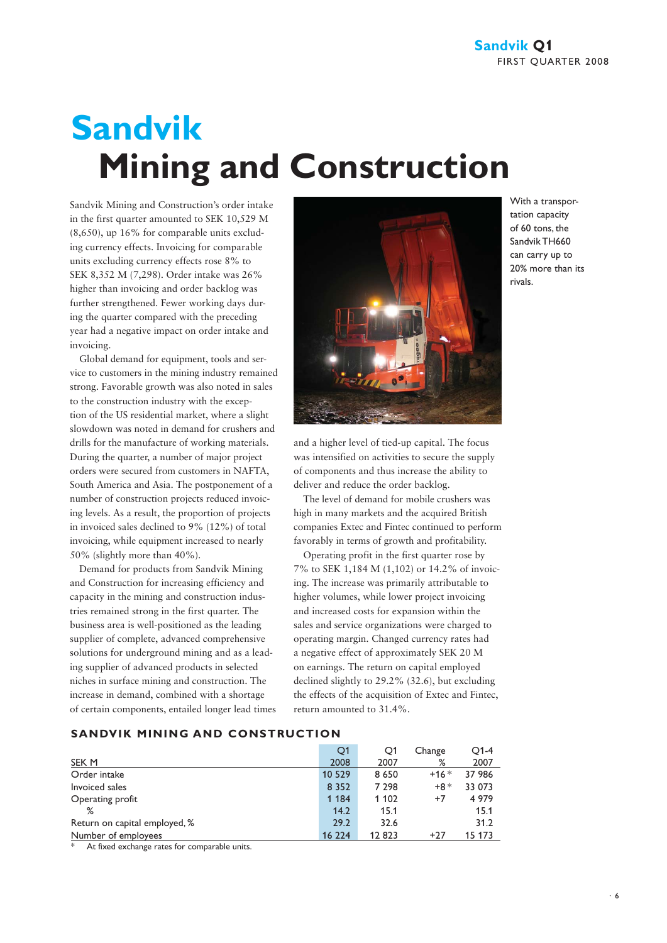# **Sandvik Mining and Construction**

Sandvik Mining and Construction's order intake in the first quarter amounted to SEK 10,529 M (8,650), up 16% for comparable units excluding currency effects. Invoicing for comparable units excluding currency effects rose 8% to SEK 8,352 M (7,298). Order intake was 26% higher than invoicing and order backlog was further strengthened. Fewer working days during the quarter compared with the preceding year had a negative impact on order intake and invoicing.

Global demand for equipment, tools and service to customers in the mining industry remained strong. Favorable growth was also noted in sales to the construction industry with the exception of the US residential market, where a slight slowdown was noted in demand for crushers and drills for the manufacture of working materials. During the quarter, a number of major project orders were secured from customers in NAFTA, South America and Asia. The postponement of a number of construction projects reduced invoicing levels. As a result, the proportion of projects in invoiced sales declined to 9% (12%) of total invoicing, while equipment increased to nearly 50% (slightly more than 40%).

Demand for products from Sandvik Mining and Construction for increasing efficiency and capacity in the mining and construction industries remained strong in the first quarter. The business area is well-positioned as the leading supplier of complete, advanced comprehensive solutions for underground mining and as a leading supplier of advanced products in selected niches in surface mining and construction. The increase in demand, combined with a shortage of certain components, entailed longer lead times



With a transportation capacity of 60 tons, the Sandvik TH660 can carry up to 20% more than its rivals.

and a higher level of tied-up capital. The focus was intensified on activities to secure the supply of components and thus increase the ability to deliver and reduce the order backlog.

The level of demand for mobile crushers was high in many markets and the acquired British companies Extec and Fintec continued to perform favorably in terms of growth and profitability.

Operating profit in the first quarter rose by 7% to SEK 1,184 M (1,102) or 14.2% of invoicing. The increase was primarily attributable to higher volumes, while lower project invoicing and increased costs for expansion within the sales and service organizations were charged to operating margin. Changed currency rates had a negative effect of approximately SEK 20 M on earnings. The return on capital employed declined slightly to 29.2% (32.6), but excluding the effects of the acquisition of Extec and Fintec, return amounted to 31.4%.

#### **SANDVIK MINING AND CONSTRUCTION**

|                               | Q1      | O1      | Change | $O1-4$  |
|-------------------------------|---------|---------|--------|---------|
| SEK M                         | 2008    | 2007    | %      | 2007    |
| Order intake                  | 10 5 29 | 8 6 5 0 | $+16*$ | 37 986  |
| Invoiced sales                | 8 3 5 2 | 7 2 9 8 | $+8*$  | 33 073  |
| Operating profit              | 1 1 8 4 | 1 1 0 2 | $+7$   | 4 9 7 9 |
| %                             | 14.2    | 15.1    |        | 15.1    |
| Return on capital employed, % | 29.2    | 32.6    |        | 31.2    |
| Number of employees           | 16 224  | 12823   | $+27$  | 15 173  |

At fixed exchange rates for comparable units.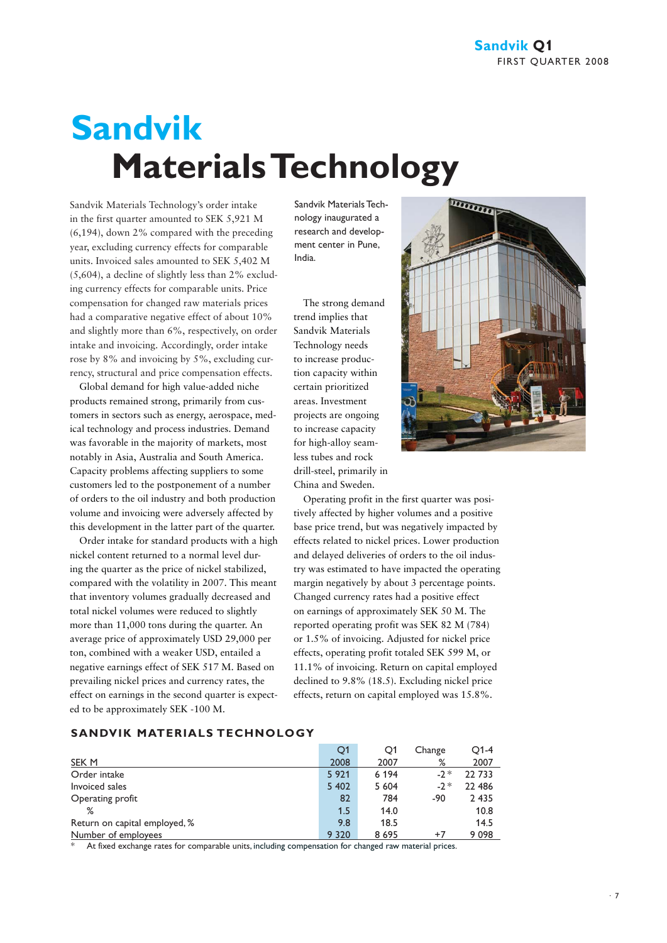# **Sandvik Materials Technology**

Sandvik Materials Technology's order intake in the first quarter amounted to SEK 5,921 M (6,194), down 2% compared with the preceding year, excluding currency effects for comparable units. Invoiced sales amounted to SEK 5,402 M (5,604), a decline of slightly less than 2% excluding currency effects for comparable units. Price compensation for changed raw materials prices had a comparative negative effect of about 10% and slightly more than 6%, respectively, on order intake and invoicing. Accordingly, order intake rose by 8% and invoicing by 5%, excluding currency, structural and price compensation effects.

Global demand for high value-added niche products remained strong, primarily from customers in sectors such as energy, aerospace, medical technology and process industries. Demand was favorable in the majority of markets, most notably in Asia, Australia and South America. Capacity problems affecting suppliers to some customers led to the postponement of a number of orders to the oil industry and both production volume and invoicing were adversely affected by this development in the latter part of the quarter.

Order intake for standard products with a high nickel content returned to a normal level during the quarter as the price of nickel stabilized, compared with the volatility in 2007. This meant that inventory volumes gradually decreased and total nickel volumes were reduced to slightly more than 11,000 tons during the quarter. An average price of approximately USD 29,000 per ton, combined with a weaker USD, entailed a negative earnings effect of SEK 517 M. Based on prevailing nickel prices and currency rates, the effect on earnings in the second quarter is expected to be approximately SEK -100 M.

Sandvik Materials Technology inaugurated a research and development center in Pune, India.

The strong demand trend implies that Sandvik Materials Technology needs to increase production capacity within certain prioritized areas. Investment projects are ongoing to increase capacity for high-alloy seamless tubes and rock drill-steel, primarily in China and Sweden.

Operating profit in the first quarter was positively affected by higher volumes and a positive base price trend, but was negatively impacted by effects related to nickel prices. Lower production and delayed deliveries of orders to the oil industry was estimated to have impacted the operating margin negatively by about 3 percentage points. Changed currency rates had a positive effect on earnings of approximately SEK 50 M. The reported operating profit was SEK 82 M (784) or 1.5% of invoicing. Adjusted for nickel price effects, operating profit totaled SEK 599 M, or 11.1% of invoicing. Return on capital employed declined to 9.8% (18.5). Excluding nickel price effects, return on capital employed was 15.8%.



#### **SANDVIK MATERIALS TECHNOLOGY**

|                               | Q1      | O1      | Change | $O1-4$  |
|-------------------------------|---------|---------|--------|---------|
| SEK M                         | 2008    | 2007    | ℅      | 2007    |
| Order intake                  | 5 9 2 1 | 6 1 9 4 | $-2*$  | 22 733  |
| Invoiced sales                | 5 4 0 2 | 5 6 0 4 | $-2*$  | 22 486  |
| Operating profit              | 82      | 784     | -90    | 2 4 3 5 |
| %                             | 1.5     | 14.0    |        | 10.8    |
| Return on capital employed, % | 9.8     | 18.5    |        | 14.5    |
| Number of employees           | 9 3 2 0 | 8695    | $+7$   | 9098    |

At fixed exchange rates for comparable units, including compensation for changed raw material prices.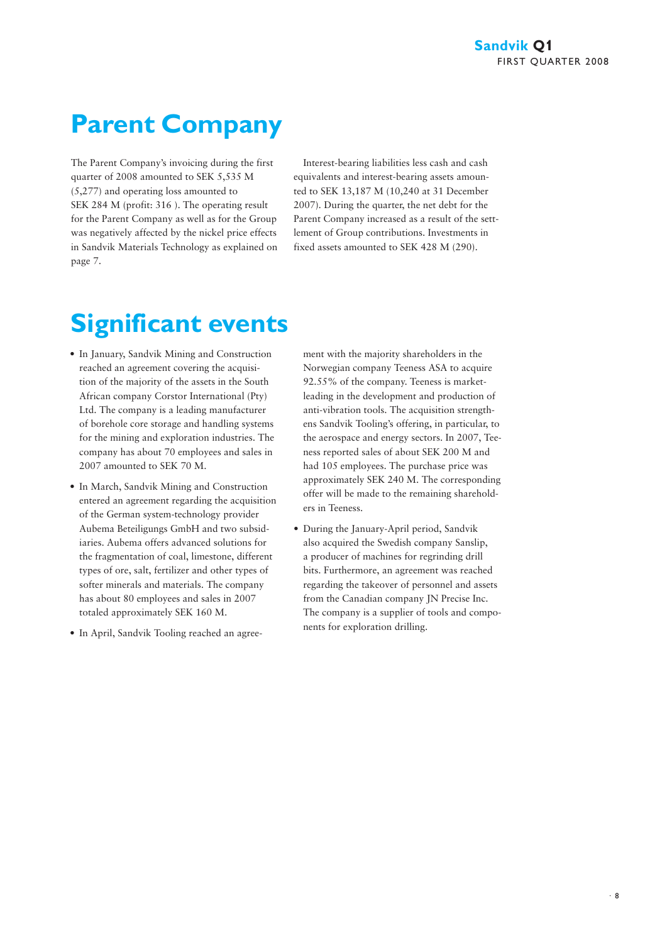## **Parent Company**

The Parent Company's invoicing during the first quarter of 2008 amounted to SEK 5,535 M (5,277) and operating loss amounted to SEK 284 M (profit: 316 ). The operating result for the Parent Company as well as for the Group was negatively affected by the nickel price effects in Sandvik Materials Technology as explained on page 7.

Interest-bearing liabilities less cash and cash equivalents and interest-bearing assets amounted to SEK 13,187 M (10,240 at 31 December 2007). During the quarter, the net debt for the Parent Company increased as a result of the settlement of Group contributions. Investments in fixed assets amounted to SEK 428 M (290).

## **Significant events**

- In January, Sandvik Mining and Construction reached an agreement covering the acquisition of the majority of the assets in the South African company Corstor International (Pty) Ltd. The company is a leading manufacturer of borehole core storage and handling systems for the mining and exploration industries. The company has about 70 employees and sales in 2007 amounted to SEK 70 M.
- In March, Sandvik Mining and Construction entered an agreement regarding the acquisition of the German system-technology provider Aubema Beteiligungs GmbH and two subsidiaries. Aubema offers advanced solutions for the fragmentation of coal, limestone, different types of ore, salt, fertilizer and other types of softer minerals and materials. The company has about 80 employees and sales in 2007 totaled approximately SEK 160 M.
- In April, Sandvik Tooling reached an agree-

ment with the majority shareholders in the Norwegian company Teeness ASA to acquire 92.55% of the company. Teeness is marketleading in the development and production of anti-vibration tools. The acquisition strengthens Sandvik Tooling's offering, in particular, to the aerospace and energy sectors. In 2007, Teeness reported sales of about SEK 200 M and had 105 employees. The purchase price was approximately SEK 240 M. The corresponding offer will be made to the remaining shareholders in Teeness.

• During the January-April period, Sandvik also acquired the Swedish company Sanslip, a producer of machines for regrinding drill bits. Furthermore, an agreement was reached regarding the takeover of personnel and assets from the Canadian company JN Precise Inc. The company is a supplier of tools and components for exploration drilling.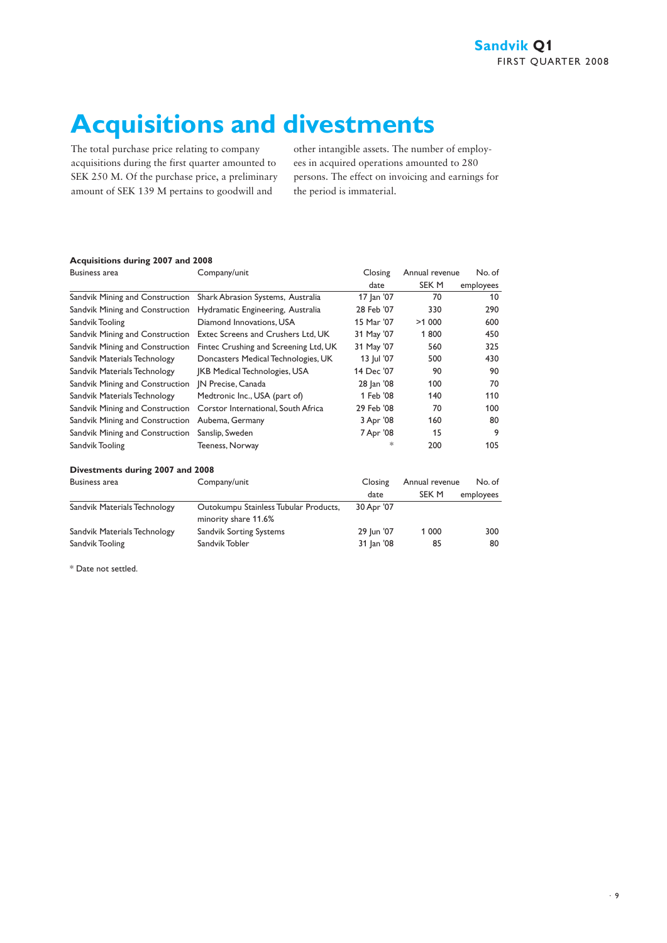## **Acquisitions and divestments**

The total purchase price relating to company acquisitions during the first quarter amounted to SEK 250 M. Of the purchase price, a preliminary amount of SEK 139 M pertains to goodwill and

other intangible assets. The number of employees in acquired operations amounted to 280 persons. The effect on invoicing and earnings for the period is immaterial.

## **Acquisitions during 2007 and 2008**

| <b>Business area</b>             | Company/unit                          | Closing    | Annual revenue | No. of    |
|----------------------------------|---------------------------------------|------------|----------------|-----------|
|                                  |                                       | date       | SEK M          | employees |
| Sandvik Mining and Construction  | Shark Abrasion Systems, Australia     | 17 Jan '07 | 70             | 10        |
| Sandvik Mining and Construction  | Hydramatic Engineering, Australia     | 28 Feb '07 | 330            | 290       |
| Sandvik Tooling                  | Diamond Innovations, USA              | 15 Mar '07 | >1000          | 600       |
| Sandvik Mining and Construction  | Extec Screens and Crushers Ltd, UK    | 31 May '07 | 1800           | 450       |
| Sandvik Mining and Construction  | Fintec Crushing and Screening Ltd, UK | 31 May '07 | 560            | 325       |
| Sandvik Materials Technology     | Doncasters Medical Technologies, UK   | 13 Jul '07 | 500            | 430       |
| Sandvik Materials Technology     | <b>IKB Medical Technologies, USA</b>  | 14 Dec '07 | 90             | 90        |
| Sandvik Mining and Construction  | IN Precise, Canada                    | 28 Jan '08 | 100            | 70        |
| Sandvik Materials Technology     | Medtronic Inc., USA (part of)         | 1 Feb '08  | 140            | 110       |
| Sandvik Mining and Construction  | Corstor International, South Africa   | 29 Feb '08 | 70             | 100       |
| Sandvik Mining and Construction  | Aubema, Germany                       | 3 Apr '08  | 160            | 80        |
| Sandvik Mining and Construction  | Sanslip, Sweden                       | 7 Apr '08  | 15             | 9         |
| Sandvik Tooling                  | Teeness, Norway                       | $*$        | 200            | 105       |
| Divestments during 2007 and 2008 |                                       |            |                |           |
|                                  |                                       |            |                |           |

| Business area                | Company/unit                                                  | Closing    | Annual revenue | No. of    |  |
|------------------------------|---------------------------------------------------------------|------------|----------------|-----------|--|
|                              |                                                               | date       | SEK M          | employees |  |
| Sandvik Materials Technology | Outokumpu Stainless Tubular Products,<br>minority share 11.6% | 30 Apr '07 |                |           |  |
| Sandvik Materials Technology | Sandvik Sorting Systems                                       | 29 Jun '07 | 1 0 0 0        | 300       |  |
| Sandvik Tooling              | Sandvik Tobler                                                | 31 Jan '08 | 85             | 80        |  |

\* Date not settled.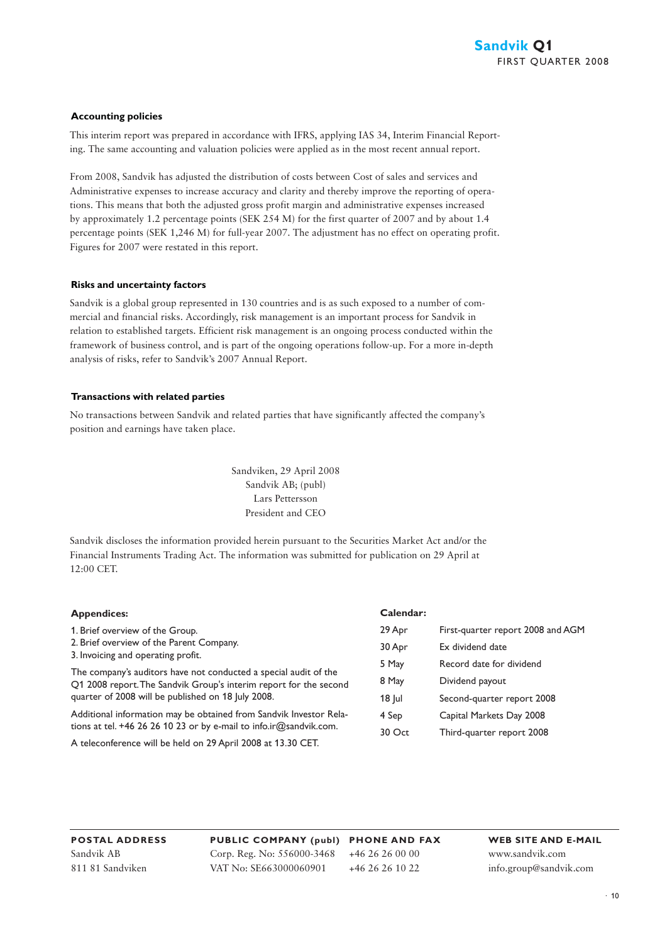#### **Accounting policies**

This interim report was prepared in accordance with IFRS, applying IAS 34, Interim Financial Reporting. The same accounting and valuation policies were applied as in the most recent annual report.

From 2008, Sandvik has adjusted the distribution of costs between Cost of sales and services and Administrative expenses to increase accuracy and clarity and thereby improve the reporting of operations. This means that both the adjusted gross profit margin and administrative expenses increased by approximately 1.2 percentage points (SEK 254 M) for the first quarter of 2007 and by about 1.4 percentage points (SEK 1,246 M) for full-year 2007. The adjustment has no effect on operating profit. Figures for 2007 were restated in this report.

#### **Risks and uncertainty factors**

Sandvik is a global group represented in 130 countries and is as such exposed to a number of commercial and financial risks. Accordingly, risk management is an important process for Sandvik in relation to established targets. Efficient risk management is an ongoing process conducted within the framework of business control, and is part of the ongoing operations follow-up. For a more in-depth analysis of risks, refer to Sandvik's 2007 Annual Report.

#### **Transactions with related parties**

No transactions between Sandvik and related parties that have significantly affected the company's position and earnings have taken place.

> Sandviken, 29 April 2008 Sandvik AB; (publ) Lars Pettersson President and CEO

Sandvik discloses the information provided herein pursuant to the Securities Market Act and/or the Financial Instruments Trading Act. The information was submitted for publication on 29 April at 12:00 CET.

| <b>Appendices:</b>                                                                                                                                                                                                      | Calendar: |                                   |
|-------------------------------------------------------------------------------------------------------------------------------------------------------------------------------------------------------------------------|-----------|-----------------------------------|
| 1. Brief overview of the Group.                                                                                                                                                                                         | 29 Apr    | First-quarter report 2008 and AGM |
| 2. Brief overview of the Parent Company.<br>3. Invoicing and operating profit.<br>The company's auditors have not conducted a special audit of the<br>Q1 2008 report. The Sandvik Group's interim report for the second | 30 Apr    | Ex dividend date                  |
|                                                                                                                                                                                                                         | 5 May     | Record date for dividend          |
|                                                                                                                                                                                                                         | 8 May     | Dividend payout                   |
| quarter of 2008 will be published on 18 July 2008.                                                                                                                                                                      | $18$ Jul  | Second-quarter report 2008        |
| Additional information may be obtained from Sandvik Investor Rela-                                                                                                                                                      | 4 Sep     | Capital Markets Day 2008          |
| tions at tel. +46 26 26 10 23 or by e-mail to info.ir $@$ sandvik.com.                                                                                                                                                  | 30 Oct    | Third-quarter report 2008         |
| A teleconference will be held on 29 April 2008 at 13.30 CET.                                                                                                                                                            |           |                                   |

**POSTAL ADDRESS** Sandvik AB 811 81 Sandviken

**PUBLIC COMPANY (publ) PHONE AND FAX** Corp. Reg. No: 556000-3468 VAT No: SE663000060901

+46 26 26 00 00 +46 26 26 10 22

**WEB SITE AND E-MAIL** www.sandvik.com info.group@sandvik.com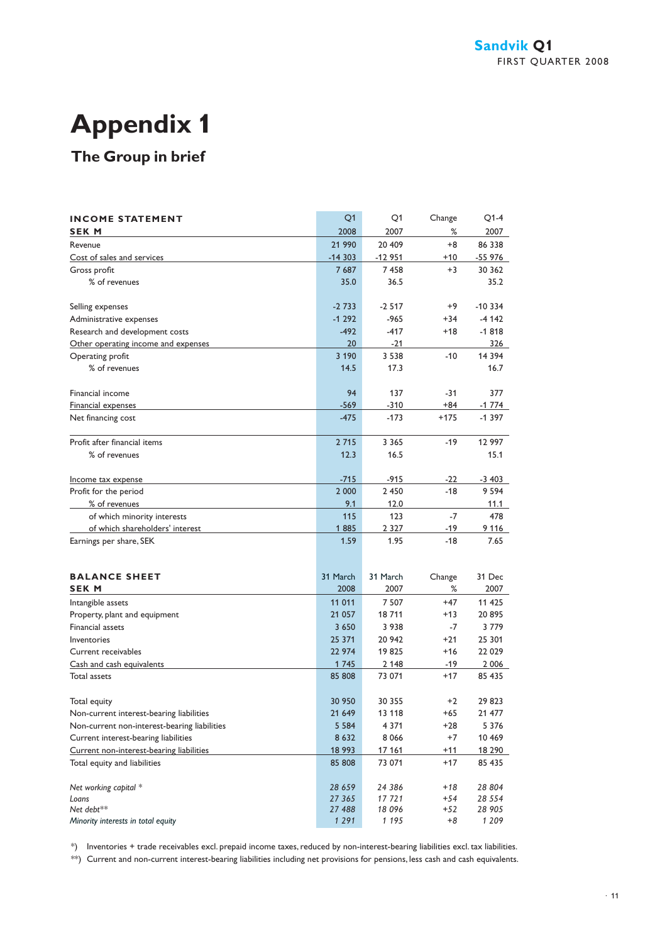## **Appendix 1**

## **The Group in brief**

| <b>INCOME STATEMENT</b>                      | Q1       | Q <sub>1</sub> | Change | $Q1-4$   |
|----------------------------------------------|----------|----------------|--------|----------|
| <b>SEK M</b>                                 | 2008     | 2007           | %      | 2007     |
| Revenue                                      | 21 990   | 20 409         | $+8$   | 86 338   |
| Cost of sales and services                   | $-14303$ | $-12951$       | $+10$  | -55 976  |
| Gross profit                                 | 7687     | 7458           | $+3$   | 30 362   |
| % of revenues                                | 35.0     | 36.5           |        | 35.2     |
|                                              |          |                |        |          |
| Selling expenses                             | $-2733$  | $-2517$        | +9     | $-10334$ |
| Administrative expenses                      | $-1292$  | $-965$         | $+34$  | $-4142$  |
| Research and development costs               | $-492$   | $-417$         | $+18$  | $-1818$  |
| Other operating income and expenses          | 20       | $-21$          |        | 326      |
| Operating profit                             | 3 1 9 0  | 3 5 3 8        | $-10$  | 14 3 94  |
| % of revenues                                | 14.5     | 17.3           |        | 16.7     |
|                                              |          |                |        |          |
| Financial income                             | 94       | 137            | -31    | 377      |
| Financial expenses                           | $-569$   | $-310$         | $+84$  | $-1774$  |
| Net financing cost                           | $-475$   | $-173$         | $+175$ | $-1397$  |
|                                              |          |                |        |          |
| Profit after financial items                 | 2 7 1 5  | 3 3 6 5        | $-19$  | 12 997   |
| % of revenues                                | 12.3     | 16.5           |        | 15.1     |
|                                              | $-715$   | $-915$         | $-22$  | -3 403   |
| Income tax expense<br>Profit for the period  | 2 000    | 2 4 5 0        | $-18$  | 9 5 9 4  |
| % of revenues                                | 9.1      | 12.0           |        | 11.1     |
| of which minority interests                  | 115      | 123            | $-7$   | 478      |
| of which shareholders' interest              | 1885     | 2 3 2 7        | $-19$  | 9 1 1 6  |
| Earnings per share, SEK                      | 1.59     | 1.95           | $-18$  | 7.65     |
|                                              |          |                |        |          |
|                                              |          |                |        |          |
| <b>BALANCE SHEET</b>                         | 31 March | 31 March       | Change | 31 Dec   |
| <b>SEK M</b>                                 | 2008     | 2007           | %      | 2007     |
| Intangible assets                            | 11 011   | 7 5 0 7        | $+47$  | 11 425   |
| Property, plant and equipment                | 21 057   | 18711          | $+13$  | 20895    |
| <b>Financial assets</b>                      | 3 6 5 0  | 3 9 3 8        | $-7$   | 3779     |
| Inventories                                  | 25 371   | 20 942         | $+21$  | 25 301   |
| Current receivables                          | 22 974   | 19825          | $+16$  | 22 029   |
| Cash and cash equivalents                    | 1745     | 2 1 4 8        | $-19$  | 2 006    |
| <b>Total assets</b>                          | 85 808   | 73 071         | $+17$  | 85 435   |
|                                              |          |                |        |          |
| Total equity                                 | 30 950   | 30 355         | $+2$   | 29823    |
| Non-current interest-bearing liabilities     | 21 649   | 13 118         | $+65$  | 21 477   |
| Non-current non-interest-bearing liabilities | 5 5 8 4  | 4 3 7 1        | +28    | 5 3 7 6  |
| Current interest-bearing liabilities         | 8 6 3 2  | 8 0 6 6        | +7     | 10 469   |
| Current non-interest-bearing liabilities     | 18 993   | 17 161         | $+11$  | 18 290   |
| Total equity and liabilities                 | 85 808   | 73 071         | $+17$  | 85 435   |
|                                              |          |                |        |          |
| Net working capital *                        | 28 659   | 24 386         | +18    | 28 804   |
| Loans                                        | 27 365   | 17721          | $+54$  | 28 554   |
| Net debt**                                   | 27 488   | 18 096         | +52    | 28 905   |
| Minority interests in total equity           | 1 2 9 1  | 1 1 9 5        | +8     | 1 209    |

\*) Inventories + trade receivables excl. prepaid income taxes, reduced by non-interest-bearing liabilities excl. tax liabilities.

\*\*) Current and non-current interest-bearing liabilities including net provisions for pensions, less cash and cash equivalents.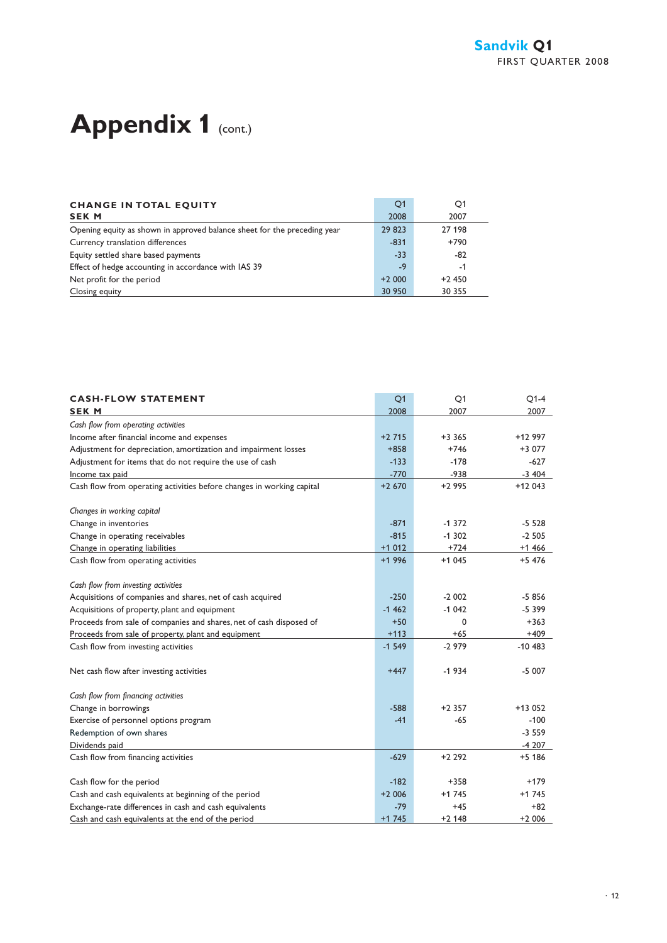## Appendix 1 (cont.)

| <b>CHANGE IN TOTAL EQUITY</b>                                            | O <sub>1</sub> | O <sub>1</sub> |
|--------------------------------------------------------------------------|----------------|----------------|
| <b>SEK M</b>                                                             | 2008           | 2007           |
| Opening equity as shown in approved balance sheet for the preceding year | 29 823         | 27 198         |
| Currency translation differences                                         | $-831$         | $+790$         |
| Equity settled share based payments                                      | $-33$          | $-82$          |
| Effect of hedge accounting in accordance with IAS 39                     | $-9$           | -1             |
| Net profit for the period                                                | $+2000$        | $+2450$        |
| Closing equity                                                           | 30 950         | 30 355         |

| <b>CASH-FLOW STATEMENT</b>                                            | Q <sub>1</sub> | Q1       | $Q1-4$    |
|-----------------------------------------------------------------------|----------------|----------|-----------|
| <b>SEK M</b>                                                          | 2008           | 2007     | 2007      |
| Cash flow from operating activities                                   |                |          |           |
| Income after financial income and expenses                            | $+2715$        | $+3365$  | +12 997   |
| Adjustment for depreciation, amortization and impairment losses       | $+858$         | $+746$   | $+3077$   |
| Adjustment for items that do not require the use of cash              | $-133$         | $-178$   | $-627$    |
| Income tax paid                                                       | $-770$         | $-938$   | $-3404$   |
| Cash flow from operating activities before changes in working capital | $+2670$        | $+2995$  | $+12043$  |
| Changes in working capital                                            |                |          |           |
| Change in inventories                                                 | $-871$         | $-1372$  | $-5528$   |
| Change in operating receivables                                       | $-815$         | $-1.302$ | $-2505$   |
| Change in operating liabilities                                       | $+1012$        | $+724$   | $+1466$   |
| Cash flow from operating activities                                   | $+1996$        | $+1045$  | $+5476$   |
| Cash flow from investing activities                                   |                |          |           |
| Acquisitions of companies and shares, net of cash acquired            | $-250$         | $-2002$  | $-5856$   |
| Acquisitions of property, plant and equipment                         | $-1462$        | $-1042$  | $-5399$   |
| Proceeds from sale of companies and shares, net of cash disposed of   | $+50$          | 0        | $+363$    |
| Proceeds from sale of property, plant and equipment                   | $+113$         | $+65$    | $+409$    |
| Cash flow from investing activities                                   | $-1549$        | $-2979$  | $-10483$  |
| Net cash flow after investing activities                              | $+447$         | $-1934$  | $-5007$   |
| Cash flow from financing activities                                   |                |          |           |
| Change in borrowings                                                  | $-588$         | $+2.357$ | $+13.052$ |
| Exercise of personnel options program                                 | $-41$          | $-65$    | $-100$    |
| Redemption of own shares                                              |                |          | $-3559$   |
| Dividends paid                                                        |                |          | $-4207$   |
| Cash flow from financing activities                                   | $-629$         | $+2292$  | $+5$ 186  |
| Cash flow for the period                                              | $-182$         | $+358$   | $+179$    |
| Cash and cash equivalents at beginning of the period                  | $+2006$        | $+1745$  | $+1745$   |
| Exchange-rate differences in cash and cash equivalents                | $-79$          | $+45$    | $+82$     |
| Cash and cash equivalents at the end of the period                    | $+1745$        | $+2$ 148 | $+2006$   |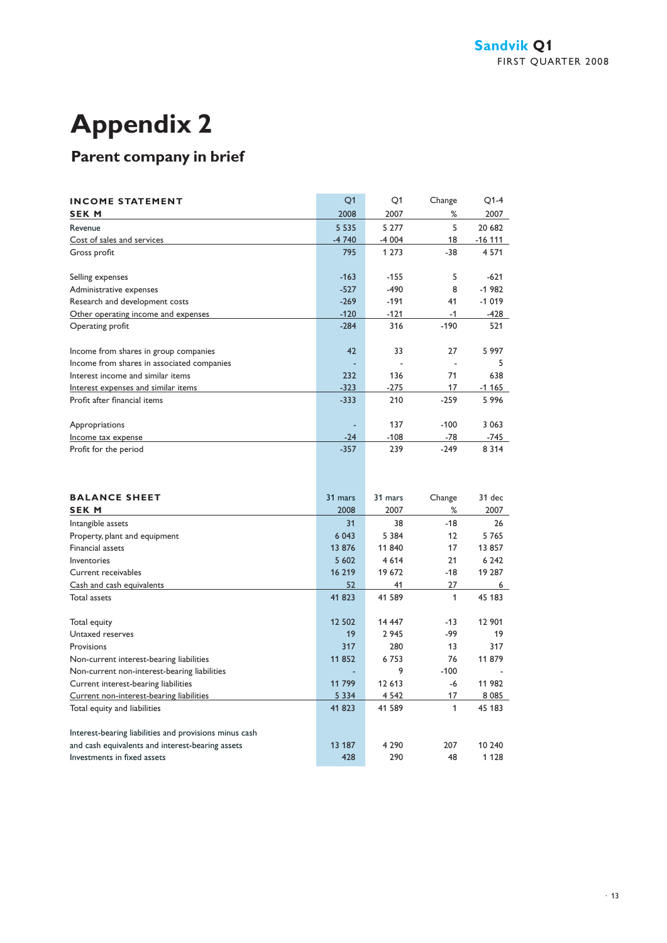## **Appendix 2**

## **Parent company in brief**

| <b>INCOME STATEMENT</b>                    | Q <sub>1</sub> | O <sub>1</sub> | Change | $O1-4$    |
|--------------------------------------------|----------------|----------------|--------|-----------|
| <b>SEK M</b>                               | 2008           | 2007           | %      | 2007      |
| Revenue                                    | 5 5 3 5        | 5 2 7 7        | 5      | 20 682    |
| Cost of sales and services                 | $-4740$        | $-4004$        | 18     | $-16$ 111 |
| Gross profit                               | 795            | 1 2 7 3        | $-38$  | 4 5 7 1   |
|                                            |                |                |        |           |
| Selling expenses                           | $-163$         | $-155$         | 5      | $-621$    |
| Administrative expenses                    | $-527$         | $-490$         | 8      | $-1982$   |
| Research and development costs             | $-269$         | $-191$         | 41     | $-1019$   |
| Other operating income and expenses        | $-120$         | $-121$         | $-1$   | $-428$    |
| Operating profit                           | $-284$         | 316            | $-190$ | 521       |
|                                            |                |                |        |           |
| Income from shares in group companies      | 42             | 33             | 27     | 5 9 9 7   |
| Income from shares in associated companies |                |                |        | 5         |
| Interest income and similar items          | 232            | 136            | 71     | 638       |
| Interest expenses and similar items        | $-323$         | $-275$         | 17     | $-1165$   |
| Profit after financial items               | $-333$         | 210            | $-259$ | 5996      |
|                                            |                |                |        |           |
| Appropriations                             |                | 137            | $-100$ | 3 0 6 3   |
| Income tax expense                         | $-24$          | $-108$         | $-78$  | $-745$    |
| Profit for the period                      | $-357$         | 239            | $-249$ | 8 3 1 4   |
|                                            |                |                |        |           |

| <b>BALANCE SHEET</b><br><b>SEK M</b>                   | 31 mars<br>2008 | 31 mars<br>2007 | Change<br>℅ | $31$ dec<br>2007 |
|--------------------------------------------------------|-----------------|-----------------|-------------|------------------|
| Intangible assets                                      | 31              | 38              | $-18$       | 26               |
| Property, plant and equipment                          | 6 0 43          | 5 3 8 4         | 12          | 5765             |
| <b>Financial assets</b>                                | 13 876          | 11 840          | 17          | 13 857           |
| Inventories                                            | 5 602           | 4 6 1 4         | 21          | 6 2 4 2          |
| Current receivables                                    | 16 219          | 19 672          | $-18$       | 19 287           |
| Cash and cash equivalents                              | 52              | 41              | 27          | 6                |
| Total assets                                           | 41 823          | 41 589          | 1           | 45 183           |
|                                                        |                 |                 |             |                  |
| Total equity                                           | 12 502          | 14 447          | $-13$       | 12 901           |
| Untaxed reserves                                       | 19              | 2 9 4 5         | -99         | 19               |
| Provisions                                             | 317             | 280             | 13          | 317              |
| Non-current interest-bearing liabilities               | 11852           | 6753            | 76          | 11 879           |
| Non-current non-interest-bearing liabilities           | ٠               | 9               | $-100$      |                  |
| Current interest-bearing liabilities                   | 11 799          | 12 613          | -6          | 11 982           |
| Current non-interest-bearing liabilities               | 5 3 3 4         | 4 5 4 2         | 17          | 8 0 8 5          |
| Total equity and liabilities                           | 41 823          | 41 589          | 1           | 45 183           |
|                                                        |                 |                 |             |                  |
| Interest-bearing liabilities and provisions minus cash |                 |                 |             |                  |
| and cash equivalents and interest-bearing assets       | 13 187          | 4 2 9 0         | 207         | 10 240           |
| Investments in fixed assets                            | 428             | 290             | 48          | 1 1 2 8          |